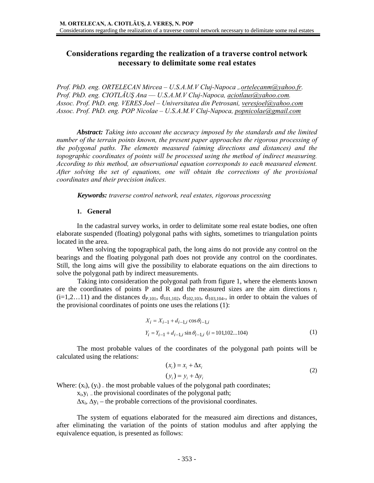# **Considerations regarding the realization of a traverse control network necessary to delimitate some real estates**

*Prof. PhD. eng. ORTELECAN Mircea – U.S.A.M.V Cluj-Napoca ,.ortelecanm@yahoo.fr. Prof. PhD. eng. CIOTLĂUŞ Ana –– U.S.A.M.V Cluj-Napoca, aciotlaus@yahoo.com. Assoc. Prof. PhD. eng. VERES Joel – Universitatea din Petrosani, veresjoel@yahoo.com Assoc. Prof. PhD. eng. POP Nicolae – U.S.A.M.V Cluj-Napoca, popnicolae@gmail.com*

*Abstract: Taking into account the accuracy imposed by the standards and the limited number of the terrain points known, the present paper approaches the rigorous processing of the polygonal paths. The elements measured (aiming directions and distances) and the topographic coordinates of points will be processed using the method of indirect measuring. According to this method, an observational equation corresponds to each measured element. After solving the set of equations, one will obtain the corrections of the provisional coordinates and their precision indices.* 

*Keywords: traverse control network, real estates, rigorous processing* 

## **1. General**

In the cadastral survey works, in order to delimitate some real estate bodies, one often elaborate suspended (floating) polygonal paths with sights, sometimes to triangulation points located in the area.

When solving the topographical path, the long aims do not provide any control on the bearings and the floating polygonal path does not provide any control on the coordinates. Still, the long aims will give the possibility to elaborate equations on the aim directions to solve the polygonal path by indirect measurements.

 Taking into consideration the polygonal path from figure 1, where the elements known are the coordinates of points P and R and the measured sizes are the aim directions  $r_i$  $(i=1,2...11)$  and the distances d<sub>P,101</sub>, d<sub>101,102</sub>, d<sub>102,103</sub>, d<sub>103,104</sub>, in order to obtain the values of the provisional coordinates of points one uses the relations (1):

$$
X_i = X_{i-1} + d_{i-1,i} \cos \theta_{i-1,i}
$$
  
\n
$$
Y_i = Y_{i-1} + d_{i-1,i} \sin \theta_{i-1,i} \ (i = 101,102...104)
$$
 (1)

The most probable values of the coordinates of the polygonal path points will be calculated using the relations:

$$
(x_i) = x_i + \Delta x_i
$$
  
\n
$$
(y_i) = y_i + \Delta y_i
$$
\n(2)

Where:  $(x_i)$ ,  $(y_i)$  – the most probable values of the polygonal path coordinates;

 $x_i, y_i$  – the provisional coordinates of the polygonal path;

 $\Delta x_i$ ,  $\Delta y_i$  – the probable corrections of the provisional coordinates.

The system of equations elaborated for the measured aim directions and distances, after eliminating the variation of the points of station modulus and after applying the equivalence equation, is presented as follows: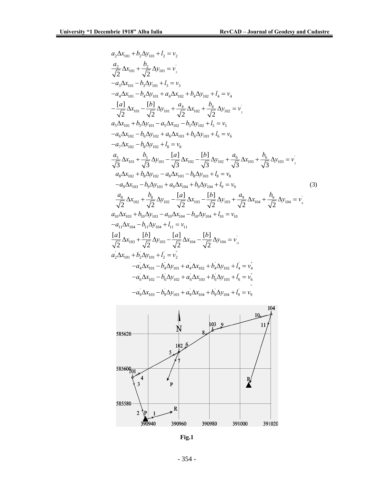$$
a_{2}\Delta x_{101} + b_{2}\Delta y_{101} + l_{2} = v_{2}
$$
\n
$$
\frac{a_{2}}{\sqrt{2}}\Delta x_{101} + \frac{b_{2}}{\sqrt{2}}\Delta y_{101} = v_{2}
$$
\n
$$
-a_{3}\Delta x_{101} - b_{3}\Delta y_{101} + l_{3} = v_{3}
$$
\n
$$
-a_{4}\Delta x_{101} - b_{4}\Delta y_{101} + a_{4}\Delta x_{102} + b_{4}\Delta y_{102} + l_{4} = v_{4}
$$
\n
$$
-\frac{[a]}{\sqrt{2}}\Delta x_{101} - \frac{[b]}{\sqrt{2}}\Delta y_{101} + \frac{a_{4}}{\sqrt{2}}\Delta x_{102} + \frac{b_{4}}{\sqrt{2}}\Delta y_{102} = v_{2}
$$
\n
$$
a_{5}\Delta x_{101} + b_{5}\Delta y_{101} - a_{5}\Delta x_{102} - b_{5}\Delta y_{102} + l_{5} = v_{5}
$$
\n
$$
-a_{6}\Delta x_{102} - b_{6}\Delta y_{102} + l_{8} = v_{8}
$$
\n
$$
-a_{7}\Delta x_{102} - b_{8}\Delta y_{102} + l_{8} = v_{8}
$$
\n
$$
\frac{a_{5}}{\sqrt{3}}\Delta x_{101} + \frac{b_{5}}{\sqrt{3}}\Delta y_{101} - \frac{[a]}{\sqrt{3}}\Delta x_{102} - \frac{[b]}{\sqrt{3}}\Delta y_{102} + \frac{a_{6}}{\sqrt{3}}\Delta x_{103} + \frac{b_{6}}{\sqrt{3}}\Delta y_{103} = v_{2}
$$
\n
$$
a_{8}\Delta x_{102} + b_{8}\Delta y_{102} - a_{8}\Delta x_{103} - b_{8}\Delta y_{103} + l_{8} = v_{8}
$$
\n
$$
-a_{9}\Delta x_{103} - b_{9}\Delta y_{103} + a_{9}\Delta x_{104} + b_{9}\Delta y_{104} + l_{9} = v_{9}
$$
\n
$$
\frac{a_{8}}{\sqrt{2}}\Delta x_{102} + \frac{b_{8}}{\sqrt{2}}\Delta y_{1
$$



**Fig.1**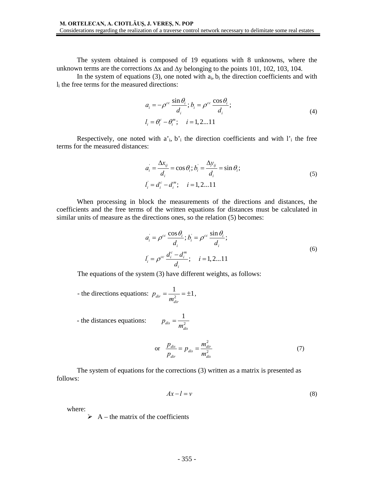The system obtained is composed of 19 equations with 8 unknowns, where the unknown terms are the corrections ∆x and ∆y belonging to the points 101, 102, 103, 104.

In the system of equations (3), one noted with  $a_i$ ,  $b_i$  the direction coefficients and with li the free terms for the measured directions:

$$
a_i = -\rho^{cc} \frac{\sin \theta_i}{d_i}; b_i = \rho^{cc} \frac{\cos \theta_i}{d_i};
$$
  
\n
$$
l_i = \theta_i^c - \theta_i^m; \quad i = 1, 2...11
$$
\n(4)

Respectively, one noted with  $a$ <sup>'</sup><sub>i</sub>,  $b$ <sup>'</sup><sub>i</sub> the direction coefficients and with  $l$ <sup>'</sup><sub>i</sub> the free terms for the measured distances:

$$
a'_{i} = \frac{\Delta x_{ij}}{d_{i}} = \cos \theta_{i}; b'_{i} = \frac{\Delta y_{ij}}{d_{i}} = \sin \theta_{i};
$$
  
\n
$$
l'_{i} = d''_{i} - d''_{i}; \quad i = 1, 2...11
$$
\n(5)

When processing in block the measurements of the directions and distances, the coefficients and the free terms of the written equations for distances must be calculated in similar units of measure as the directions ones, so the relation (5) becomes:

$$
a_i = \rho^{cc} \frac{\cos \theta_i}{d_i}; b_i = \rho^{cc} \frac{\sin \theta_i}{d_i};
$$
  
\n
$$
l_i = \rho^{cc} \frac{d_i^c - d_i^m}{d_i}; \quad i = 1, 2...11
$$
\n(6)

The equations of the system (3) have different weights, as follows:

*dis*

 $p_{dis} = \frac{1}{m}$ 

- the directions equations: 
$$
p_{dir} = \frac{1}{m_{dir}^2} = \pm 1
$$
,

- the distances equations:

$$
\text{or} \quad \frac{p_{dis}}{p_{dir}} = p_{dis} = \frac{m_{dir}^2}{m_{dis}^2} \tag{7}
$$

The system of equations for the corrections (3) written as a matrix is presented as follows:

1

*dis*

$$
Ax - l = v \tag{8}
$$

where:

 $\triangleright$  A – the matrix of the coefficients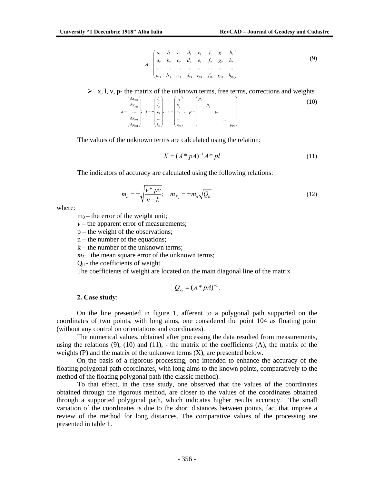$$
A = \begin{pmatrix} a_1 & b_1 & c_1 & d_1 & e_1 & f_1 & g_1 & h_1 \\ a_2 & b_2 & c_2 & d_2 & e_2 & f_2 & g_2 & h_2 \\ \dots & \dots & \dots & \dots & \dots & \dots & \dots \\ a_{19} & b_{19} & c_{19} & d_{19} & e_{19} & f_{19} & g_{19} & h_{19} \end{pmatrix}
$$
 (9)

 $\triangleright$  x, l, v, p- the matrix of the unknown terms, free terms, corrections and weights

$$
x = \begin{pmatrix} \Delta x_{101} \\ \Delta y_{101} \\ \dots \\ \Delta x_{104} \\ \Delta y_{104} \end{pmatrix}; \quad l = -\begin{pmatrix} l_1 \\ l_2 \\ l_3 \\ \dots \\ l_{19} \end{pmatrix}; \quad v = \begin{pmatrix} v_1 \\ v_2 \\ v_3 \\ \dots \\ v_{19} \end{pmatrix}; \quad p = \begin{pmatrix} p_1 \\ p_2 \\ \dots \\ p_3 \\ \dots \\ p_{19} \end{pmatrix}
$$
 (10)

The values of the unknown terms are calculated using the relation:

$$
X = (A^* pA)^{-1} A^* p l \tag{11}
$$

The indicators of accuracy are calculated using the following relations:

$$
m_o = \pm \sqrt{\frac{v^* \, pv}{n-k}}; \quad m_{X_i} = \pm m_o \sqrt{Q_{ii}} \tag{12}
$$

where:

 $m_0$  – the error of the weight unit;

 $v$  – the apparent error of measurements;

p – the weight of the observations;

n – the number of the equations;

 $k -$  the number of the unknown terms:

 $m<sub>X</sub>$  – the mean square error of the unknown terms;

 $Q_{ii}$  - the coefficients of weight.

The coefficients of weight are located on the main diagonal line of the matrix

$$
Q_{xx}=(A^*pA)^{-1}.
$$

#### **2. Case study**:

On the line presented in figure 1, afferent to a polygonal path supported on the coordinates of two points, with long aims, one considered the point 104 as floating point (without any control on orientations and coordinates).

The numerical values, obtained after processing the data resulted from measurements, using the relations  $(9)$ ,  $(10)$  and  $(11)$ , - the matrix of the coefficients  $(A)$ , the matrix of the weights  $(P)$  and the matrix of the unknown terms  $(X)$ , are presented below.

On the basis of a rigorous processing, one intended to enhance the accuracy of the floating polygonal path coordinates, with long aims to the known points, comparatively to the method of the floating polygonal path (the classic method).

To that effect, in the case study, one observed that the values of the coordinates obtained through the rigorous method, are closer to the values of the coordinates obtained through a supported polygonal path, which indicates higher results accuracy. The small variation of the coordinates is due to the short distances between points, fact that impose a review of the method for long distances. The comparative values of the processing are presented in table 1.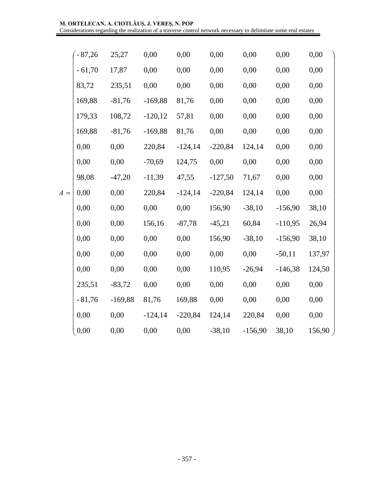|       | $-87,26$ | 25,27     | 0,00      | 0,00      | 0,00      | 0,00      | 0,00      | 0,00   |
|-------|----------|-----------|-----------|-----------|-----------|-----------|-----------|--------|
|       | $-61,70$ | 17,87     | 0,00      | 0,00      | 0,00      | 0,00      | 0,00      | 0,00   |
|       | 83,72    | 235,51    | 0,00      | 0,00      | 0,00      | 0,00      | 0,00      | 0,00   |
|       | 169,88   | $-81,76$  | $-169,88$ | 81,76     | 0,00      | 0,00      | 0,00      | 0,00   |
|       | 179,33   | 108,72    | $-120,12$ | 57,81     | 0,00      | 0,00      | 0,00      | 0,00   |
|       | 169,88   | $-81,76$  | $-169,88$ | 81,76     | 0,00      | 0,00      | 0,00      | 0,00   |
|       | 0,00     | 0,00      | 220,84    | $-124,14$ | $-220,84$ | 124,14    | 0,00      | 0,00   |
|       | 0,00     | 0,00      | $-70,69$  | 124,75    | 0,00      | 0,00      | 0,00      | 0,00   |
|       | 98,08    | $-47,20$  | $-11,39$  | 47,55     | $-127,50$ | 71,67     | 0,00      | 0,00   |
| $A =$ | 0,00     | 0,00      | 220,84    | $-124,14$ | $-220,84$ | 124,14    | 0,00      | 0,00   |
|       | 0,00     | 0,00      | 0,00      | 0,00      | 156,90    | $-38,10$  | $-156,90$ | 38,10  |
|       | 0,00     | 0,00      | 156,16    | $-87,78$  | $-45,21$  | 60,84     | $-110,95$ | 26,94  |
|       | 0,00     | 0,00      | 0,00      | 0,00      | 156,90    | $-38,10$  | $-156,90$ | 38,10  |
|       | 0,00     | 0,00      | 0,00      | 0,00      | 0,00      | 0,00      | $-50,11$  | 137,97 |
|       | 0,00     | 0,00      | 0,00      | 0,00      | 110,95    | $-26,94$  | $-146,38$ | 124,50 |
|       | 235,51   | $-83,72$  | 0,00      | 0,00      | 0,00      | 0,00      | 0,00      | 0,00   |
|       | $-81,76$ | $-169,88$ | 81,76     | 169,88    | 0,00      | 0,00      | 0,00      | 0,00   |
|       | 0,00     | 0,00      | $-124,14$ | $-220,84$ | 124,14    | 220,84    | 0,00      | 0,00   |
|       | 0,00     | 0,00      | 0,00      | 0,00      | $-38,10$  | $-156,90$ | 38,10     | 156,90 |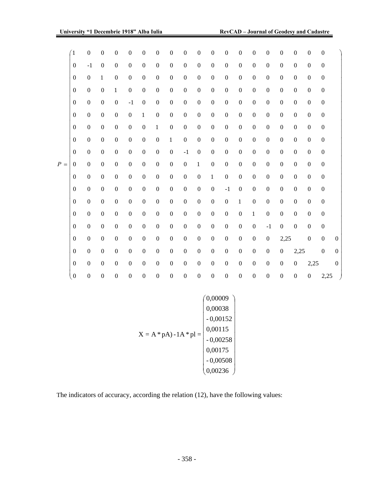|       | $\overline{1}$   | $\boldsymbol{0}$ | $\boldsymbol{0}$ | $\boldsymbol{0}$ | $\boldsymbol{0}$ | $\boldsymbol{0}$ | $\mathbf{0}$     | $\boldsymbol{0}$ | $\boldsymbol{0}$ | $\boldsymbol{0}$ | $\boldsymbol{0}$ | $\boldsymbol{0}$ | $\boldsymbol{0}$ | $\boldsymbol{0}$ | $\boldsymbol{0}$ | $\boldsymbol{0}$ | $\boldsymbol{0}$ | $\boldsymbol{0}$ | $\boldsymbol{0}$ |              |
|-------|------------------|------------------|------------------|------------------|------------------|------------------|------------------|------------------|------------------|------------------|------------------|------------------|------------------|------------------|------------------|------------------|------------------|------------------|------------------|--------------|
|       | $\boldsymbol{0}$ | $-1$             | $\boldsymbol{0}$ | $\mathbf{0}$     | $\theta$         | $\overline{0}$   | $\boldsymbol{0}$ | $\boldsymbol{0}$ | $\boldsymbol{0}$ | $\boldsymbol{0}$ | $\overline{0}$   | $\boldsymbol{0}$ | $\boldsymbol{0}$ | $\boldsymbol{0}$ | $\boldsymbol{0}$ | $\mathbf{0}$     | $\mathbf{0}$     | $\boldsymbol{0}$ | $\boldsymbol{0}$ |              |
|       | $\mathbf{0}$     | $\boldsymbol{0}$ | $\mathbf{1}$     | $\boldsymbol{0}$ | $\boldsymbol{0}$ | $\overline{0}$   | $\boldsymbol{0}$ | $\boldsymbol{0}$ | $\boldsymbol{0}$ | $\boldsymbol{0}$ | $\boldsymbol{0}$ | $\boldsymbol{0}$ | $\boldsymbol{0}$ | $\boldsymbol{0}$ | $\mathbf{0}$     | $\boldsymbol{0}$ | $\overline{0}$   | $\boldsymbol{0}$ | $\boldsymbol{0}$ |              |
|       | $\mathbf{0}$     | $\boldsymbol{0}$ | $\boldsymbol{0}$ | $\mathbf{1}$     | $\boldsymbol{0}$ | $\mathbf{0}$     | $\boldsymbol{0}$ | $\boldsymbol{0}$ | $\boldsymbol{0}$ | $\mathbf{0}$     | $\boldsymbol{0}$ | $\boldsymbol{0}$ | $\boldsymbol{0}$ | $\boldsymbol{0}$ | $\mathbf{0}$     | $\boldsymbol{0}$ | $\mathbf{0}$     | $\boldsymbol{0}$ | $\boldsymbol{0}$ |              |
|       | $\mathbf{0}$     | $\boldsymbol{0}$ | $\boldsymbol{0}$ | $\boldsymbol{0}$ | $-1$             | $\boldsymbol{0}$ | $\boldsymbol{0}$ | $\boldsymbol{0}$ | $\boldsymbol{0}$ | $\mathbf{0}$     | $\boldsymbol{0}$ | $\boldsymbol{0}$ | $\boldsymbol{0}$ | $\boldsymbol{0}$ | $\boldsymbol{0}$ | $\boldsymbol{0}$ | $\mathbf{0}$     | $\boldsymbol{0}$ | $\boldsymbol{0}$ |              |
|       | $\boldsymbol{0}$ | $\boldsymbol{0}$ | $\boldsymbol{0}$ | $\mathbf{0}$     | $\boldsymbol{0}$ | $\mathbf{1}$     | $\boldsymbol{0}$ | $\boldsymbol{0}$ | $\boldsymbol{0}$ | $\mathbf{0}$     | $\boldsymbol{0}$ | $\boldsymbol{0}$ | $\boldsymbol{0}$ | $\boldsymbol{0}$ | $\boldsymbol{0}$ | $\boldsymbol{0}$ | $\boldsymbol{0}$ | $\boldsymbol{0}$ | $\boldsymbol{0}$ |              |
|       | $\boldsymbol{0}$ | $\boldsymbol{0}$ | $\boldsymbol{0}$ | $\boldsymbol{0}$ | $\boldsymbol{0}$ | $\boldsymbol{0}$ | $\mathbf{1}$     | $\boldsymbol{0}$ | $\boldsymbol{0}$ | $\mathbf{0}$     | $\boldsymbol{0}$ | $\boldsymbol{0}$ | $\boldsymbol{0}$ | $\boldsymbol{0}$ | $\boldsymbol{0}$ | $\boldsymbol{0}$ | $\boldsymbol{0}$ | $\boldsymbol{0}$ | $\boldsymbol{0}$ |              |
|       | $\boldsymbol{0}$ | $\boldsymbol{0}$ | $\boldsymbol{0}$ | $\boldsymbol{0}$ | $\boldsymbol{0}$ | $\mathbf{0}$     | $\boldsymbol{0}$ | $\mathbf{1}$     | $\boldsymbol{0}$ | $\mathbf{0}$     | $\boldsymbol{0}$ | $\boldsymbol{0}$ | $\boldsymbol{0}$ | $\boldsymbol{0}$ | $\boldsymbol{0}$ | $\boldsymbol{0}$ | $\mathbf{0}$     | $\boldsymbol{0}$ | $\boldsymbol{0}$ |              |
|       | $\boldsymbol{0}$ | $\boldsymbol{0}$ | $\boldsymbol{0}$ | $\boldsymbol{0}$ | $\boldsymbol{0}$ | $\mathbf{0}$     | $\boldsymbol{0}$ | $\boldsymbol{0}$ | $-1$             | $\mathbf{0}$     | $\boldsymbol{0}$ | $\boldsymbol{0}$ | $\boldsymbol{0}$ | $\boldsymbol{0}$ | $\mathbf{0}$     | $\boldsymbol{0}$ | $\overline{0}$   | $\boldsymbol{0}$ | $\boldsymbol{0}$ |              |
| $P =$ | $\Omega$         | $\boldsymbol{0}$ | $\boldsymbol{0}$ | $\boldsymbol{0}$ | $\boldsymbol{0}$ | $\mathbf{0}$     | $\boldsymbol{0}$ | $\boldsymbol{0}$ | $\boldsymbol{0}$ | $\mathbf{1}$     | $\boldsymbol{0}$ | $\boldsymbol{0}$ | $\boldsymbol{0}$ | $\boldsymbol{0}$ | $\mathbf{0}$     | $\boldsymbol{0}$ | $\mathbf{0}$     | $\boldsymbol{0}$ | $\boldsymbol{0}$ |              |
|       | $\boldsymbol{0}$ | $\boldsymbol{0}$ | $\boldsymbol{0}$ | $\boldsymbol{0}$ | $\boldsymbol{0}$ | $\mathbf{0}$     | $\boldsymbol{0}$ | $\mathbf{0}$     | $\mathbf{0}$     | $\mathbf{0}$     | $\mathbf{1}$     | $\boldsymbol{0}$ | $\boldsymbol{0}$ | $\mathbf{0}$     | $\mathbf{0}$     | $\boldsymbol{0}$ | $\mathbf{0}$     | $\boldsymbol{0}$ | $\boldsymbol{0}$ |              |
|       | $\boldsymbol{0}$ | $\boldsymbol{0}$ | $\boldsymbol{0}$ | $\boldsymbol{0}$ | $\boldsymbol{0}$ | $\boldsymbol{0}$ | $\boldsymbol{0}$ | $\boldsymbol{0}$ | $\boldsymbol{0}$ | $\mathbf{0}$     | $\boldsymbol{0}$ | $-1$             | $\boldsymbol{0}$ | $\boldsymbol{0}$ | $\boldsymbol{0}$ | $\boldsymbol{0}$ | $\boldsymbol{0}$ | $\boldsymbol{0}$ | $\boldsymbol{0}$ |              |
|       | $\mathbf{0}$     | $\boldsymbol{0}$ | $\mathbf{0}$     | $\boldsymbol{0}$ | $\mathbf{0}$     | $\boldsymbol{0}$ | $\boldsymbol{0}$ | $\boldsymbol{0}$ | $\boldsymbol{0}$ | $\mathbf{0}$     | $\boldsymbol{0}$ | $\boldsymbol{0}$ | $\mathbf{1}$     | $\boldsymbol{0}$ | $\boldsymbol{0}$ | $\mathbf{0}$     | $\overline{0}$   | $\boldsymbol{0}$ | $\boldsymbol{0}$ |              |
|       | $\theta$         | $\boldsymbol{0}$ | $\boldsymbol{0}$ | $\boldsymbol{0}$ | $\boldsymbol{0}$ | $\boldsymbol{0}$ | $\boldsymbol{0}$ | $\boldsymbol{0}$ | $\boldsymbol{0}$ | $\mathbf{0}$     | $\boldsymbol{0}$ | $\boldsymbol{0}$ | $\boldsymbol{0}$ | $\mathbf{1}$     | $\boldsymbol{0}$ | $\boldsymbol{0}$ | $\mathbf{0}$     | $\boldsymbol{0}$ | $\boldsymbol{0}$ |              |
|       | $\boldsymbol{0}$ | $\boldsymbol{0}$ | $\boldsymbol{0}$ | $\boldsymbol{0}$ | $\boldsymbol{0}$ | $\boldsymbol{0}$ | $\boldsymbol{0}$ | $\boldsymbol{0}$ | $\boldsymbol{0}$ | $\mathbf{0}$     | $\boldsymbol{0}$ | $\boldsymbol{0}$ | $\boldsymbol{0}$ | $\boldsymbol{0}$ | $-1$             | $\boldsymbol{0}$ | $\mathbf{0}$     | $\boldsymbol{0}$ | $\boldsymbol{0}$ |              |
|       | $\boldsymbol{0}$ | $\boldsymbol{0}$ | $\mathbf{0}$     | $\boldsymbol{0}$ | $\boldsymbol{0}$ | $\boldsymbol{0}$ | $\boldsymbol{0}$ | $\boldsymbol{0}$ | $\boldsymbol{0}$ | $\theta$         | $\boldsymbol{0}$ | $\boldsymbol{0}$ | $\boldsymbol{0}$ | $\boldsymbol{0}$ | $\boldsymbol{0}$ | 2,25             |                  | $\boldsymbol{0}$ | $\boldsymbol{0}$ | $\mathbf{0}$ |
|       | $\theta$         | $\boldsymbol{0}$ | $\mathbf{0}$     | $\boldsymbol{0}$ | $\Omega$         | $\boldsymbol{0}$ | $\boldsymbol{0}$ | $\mathbf{0}$     | $\mathbf{0}$     | $\theta$         | $\boldsymbol{0}$ | $\mathbf{0}$     | $\boldsymbol{0}$ | $\boldsymbol{0}$ | $\boldsymbol{0}$ | $\theta$         | 2,25             |                  | $\overline{0}$   | $\theta$     |
|       | $\boldsymbol{0}$ | $\boldsymbol{0}$ | $\mathbf{0}$     | $\boldsymbol{0}$ | $\Omega$         | $\boldsymbol{0}$ | $\boldsymbol{0}$ | $\boldsymbol{0}$ | $\mathbf{0}$     | $\mathbf{0}$     | $\boldsymbol{0}$ | $\mathbf{0}$     | $\boldsymbol{0}$ | $\boldsymbol{0}$ | $\boldsymbol{0}$ | $\theta$         | $\overline{0}$   | 2,25             |                  | $\theta$     |
|       | $\boldsymbol{0}$ | $\boldsymbol{0}$ | $\boldsymbol{0}$ | $\boldsymbol{0}$ | $\boldsymbol{0}$ | $\boldsymbol{0}$ | $\boldsymbol{0}$ | $\boldsymbol{0}$ | $\boldsymbol{0}$ | $\mathbf{0}$     | $\mathbf{0}$     | $\boldsymbol{0}$ | $\boldsymbol{0}$ | $\boldsymbol{0}$ | $\boldsymbol{0}$ | $\boldsymbol{0}$ | $\boldsymbol{0}$ | $\boldsymbol{0}$ | 2,25             |              |
|       |                  |                  |                  |                  |                  |                  |                  |                  |                  |                  |                  |                  |                  |                  |                  |                  |                  |                  |                  |              |

$$
X = A * pA) - 1A * pI = \begin{pmatrix} 0,00009 \\ 0,00038 \\ -0,00152 \\ 0,00115 \\ -0,00258 \\ 0,00175 \\ -0,00508 \\ 0,00236 \end{pmatrix}
$$

The indicators of accuracy, according the relation (12), have the following values: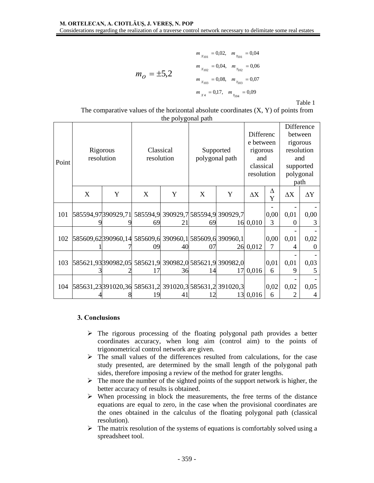$$
m_{X_{101}} = 0.02, \quad m_{Y_{101}} = 0.04
$$
\n
$$
m_{X_{102}} = 0.04, \quad m_{Y_{102}} = 0.06
$$
\n
$$
m_{X_{103}} = 0.08, \quad m_{Y_{103}} = 0.07
$$
\n
$$
m_{X_4} = 0.17, \quad m_{Y_{104}} = 0.09
$$

Table 1

|                    | The comparative values of the horizontal absolute coordinates $(X, Y)$ of points from |
|--------------------|---------------------------------------------------------------------------------------|
| the polygonal path |                                                                                       |

|       |                                                        |            |            |    |                |                                     |            |           | Difference             |            |  |
|-------|--------------------------------------------------------|------------|------------|----|----------------|-------------------------------------|------------|-----------|------------------------|------------|--|
|       |                                                        |            |            |    |                |                                     | Differenc  |           | between                |            |  |
|       |                                                        |            |            |    |                |                                     | e between  |           | rigorous<br>resolution |            |  |
|       |                                                        | Rigorous   | Classical  |    |                | Supported                           | rigorous   |           |                        |            |  |
| Point |                                                        | resolution | resolution |    | polygonal path | and                                 |            | and       |                        |            |  |
|       |                                                        |            |            |    |                | classical                           |            | supported |                        |            |  |
|       |                                                        |            |            |    |                |                                     | resolution |           | polygonal<br>path      |            |  |
|       |                                                        |            |            |    |                |                                     |            |           |                        |            |  |
|       | X<br>Y                                                 |            | X<br>Y     |    | X              | Y                                   | $\Delta X$ | Δ         | $\Delta X$             | $\Delta Y$ |  |
|       |                                                        |            |            |    |                |                                     |            | Y         |                        |            |  |
|       |                                                        |            |            |    |                |                                     |            |           |                        |            |  |
| 101   | 585594,97390929,71                                     |            |            |    |                | 585594,9 390929,7 585594,9 390929,7 |            | 0,00      | 0,01                   | 0,00       |  |
|       |                                                        |            | 69         | 2  | 69             |                                     | 16 0,010   | 3         | $\mathbf{\Omega}$      | 3          |  |
|       |                                                        |            |            |    |                |                                     |            |           |                        |            |  |
| 102   | 585609,62390960,14 585609,6 390960,1 585609,6 390960,1 |            |            |    |                |                                     |            | 0,00      | 0,01                   | 0,02       |  |
|       |                                                        |            | 09         | 40 | 07             |                                     | 26 0,012   | 7         | 4                      |            |  |
|       |                                                        |            |            |    |                |                                     |            |           |                        |            |  |
| 103   | 585621,93390982,05 585621,9 390982,0 585621,9 390982,0 |            |            |    |                |                                     |            | 0,01      | 0,01                   | 0,03       |  |
|       |                                                        |            | 17         | 36 | 14             | 17                                  | 0,016      | 6         | 9                      | ╮          |  |
|       |                                                        |            |            |    |                |                                     |            |           |                        |            |  |
| 104   | 585631,23391020,36 585631,2 391020,3 585631,2 391020,3 |            |            |    |                |                                     |            | 0,02      | 0,02                   | 0,05       |  |
|       |                                                        |            |            |    |                |                                     | 13 0,016   | 6         |                        |            |  |

## **3. Conclusions**

- $\triangleright$  The rigorous processing of the floating polygonal path provides a better coordinates accuracy, when long aim (control aim) to the points of trigonometrical control network are given.
- $\triangleright$  The small values of the differences resulted from calculations, for the case study presented, are determined by the small length of the polygonal path sides, therefore imposing a review of the method for grater lengths.
- $\triangleright$  The more the number of the sighted points of the support network is higher, the better accuracy of results is obtained.
- $\triangleright$  When processing in block the measurements, the free terms of the distance equations are equal to zero, in the case when the provisional coordinates are the ones obtained in the calculus of the floating polygonal path (classical resolution).
- $\triangleright$  The matrix resolution of the systems of equations is comfortably solved using a spreadsheet tool.